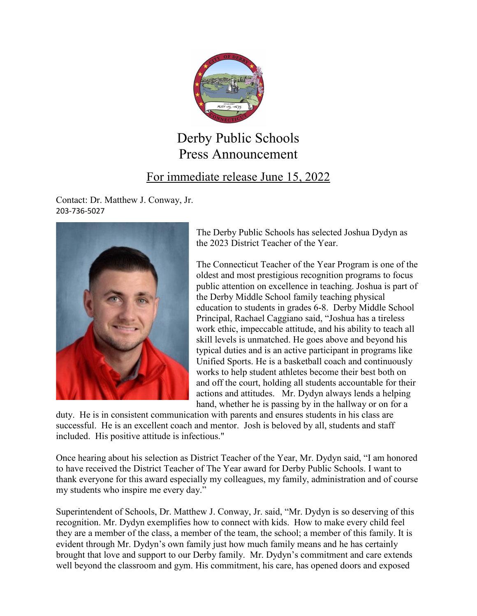

## Derby Public Schools Press Announcement

## For immediate release June 15, 2022

Contact: Dr. Matthew J. Conway, Jr. 203-736-5027



The Derby Public Schools has selected Joshua Dydyn as the 2023 District Teacher of the Year.

The Connecticut Teacher of the Year Program is one of the oldest and most prestigious recognition programs to focus public attention on excellence in teaching. Joshua is part of the Derby Middle School family teaching physical education to students in grades 6-8. Derby Middle School Principal, Rachael Caggiano said, "Joshua has a tireless work ethic, impeccable attitude, and his ability to teach all skill levels is unmatched. He goes above and beyond his typical duties and is an active participant in programs like Unified Sports. He is a basketball coach and continuously works to help student athletes become their best both on and off the court, holding all students accountable for their actions and attitudes. Mr. Dydyn always lends a helping hand, whether he is passing by in the hallway or on for a

duty. He is in consistent communication with parents and ensures students in his class are successful. He is an excellent coach and mentor. Josh is beloved by all, students and staff included. His positive attitude is infectious."

Once hearing about his selection as District Teacher of the Year, Mr. Dydyn said, "I am honored to have received the District Teacher of The Year award for Derby Public Schools. I want to thank everyone for this award especially my colleagues, my family, administration and of course my students who inspire me every day."

Superintendent of Schools, Dr. Matthew J. Conway, Jr. said, "Mr. Dydyn is so deserving of this recognition. Mr. Dydyn exemplifies how to connect with kids. How to make every child feel they are a member of the class, a member of the team, the school; a member of this family. It is evident through Mr. Dydyn's own family just how much family means and he has certainly brought that love and support to our Derby family. Mr. Dydyn's commitment and care extends well beyond the classroom and gym. His commitment, his care, has opened doors and exposed